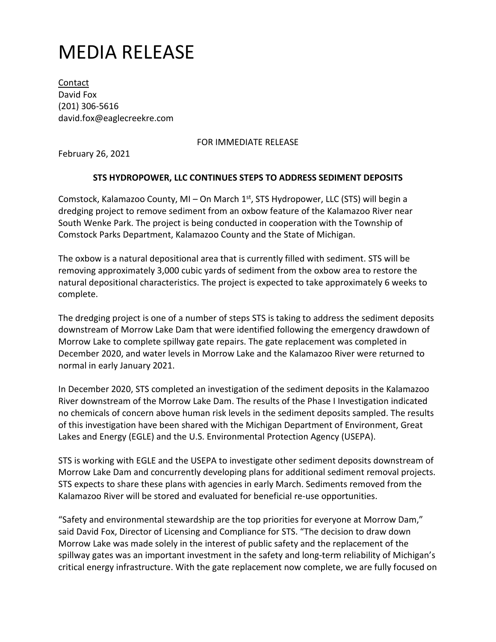## MEDIA RELEASE

Contact David Fox (201) 306-5616 david.fox@eaglecreekre.com

## FOR IMMEDIATE RELEASE

February 26, 2021

## **STS HYDROPOWER, LLC CONTINUES STEPS TO ADDRESS SEDIMENT DEPOSITS**

Comstock, Kalamazoo County, MI – On March  $1<sup>st</sup>$ , STS Hydropower, LLC (STS) will begin a dredging project to remove sediment from an oxbow feature of the Kalamazoo River near South Wenke Park. The project is being conducted in cooperation with the Township of Comstock Parks Department, Kalamazoo County and the State of Michigan.

The oxbow is a natural depositional area that is currently filled with sediment. STS will be removing approximately 3,000 cubic yards of sediment from the oxbow area to restore the natural depositional characteristics. The project is expected to take approximately 6 weeks to complete.

The dredging project is one of a number of steps STS is taking to address the sediment deposits downstream of Morrow Lake Dam that were identified following the emergency drawdown of Morrow Lake to complete spillway gate repairs. The gate replacement was completed in December 2020, and water levels in Morrow Lake and the Kalamazoo River were returned to normal in early January 2021.

In December 2020, STS completed an investigation of the sediment deposits in the Kalamazoo River downstream of the Morrow Lake Dam. The results of the Phase I Investigation indicated no chemicals of concern above human risk levels in the sediment deposits sampled. The results of this investigation have been shared with the Michigan Department of Environment, Great Lakes and Energy (EGLE) and the U.S. Environmental Protection Agency (USEPA).

STS is working with EGLE and the USEPA to investigate other sediment deposits downstream of Morrow Lake Dam and concurrently developing plans for additional sediment removal projects. STS expects to share these plans with agencies in early March. Sediments removed from the Kalamazoo River will be stored and evaluated for beneficial re-use opportunities.

"Safety and environmental stewardship are the top priorities for everyone at Morrow Dam," said David Fox, Director of Licensing and Compliance for STS. "The decision to draw down Morrow Lake was made solely in the interest of public safety and the replacement of the spillway gates was an important investment in the safety and long-term reliability of Michigan's critical energy infrastructure. With the gate replacement now complete, we are fully focused on